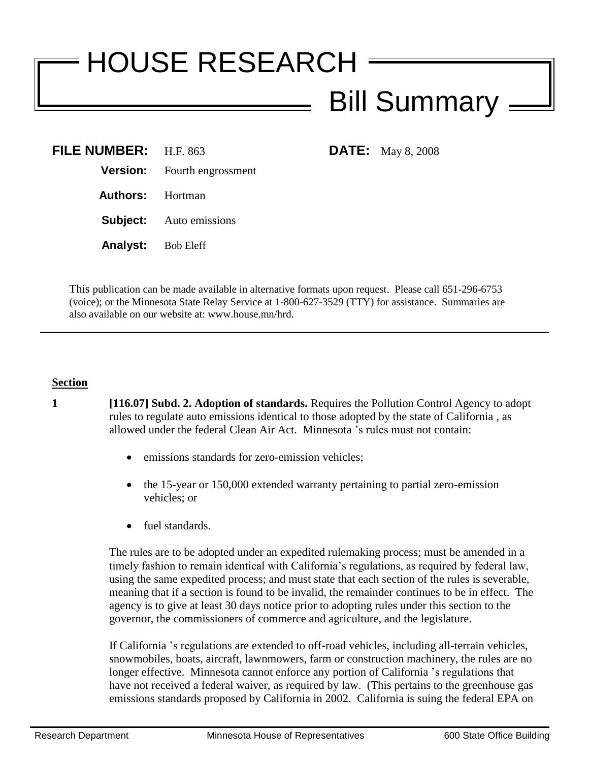## HOUSE RESEARCH Bill Summary

| <b>FILE NUMBER:</b> $H.F. 863$ |                                    |
|--------------------------------|------------------------------------|
|                                | <b>Version:</b> Fourth engrossment |
| <b>Authors:</b> Hortman        |                                    |
|                                | <b>Subject:</b> Auto emissions     |
| <b>Analyst:</b> Bob Eleff      |                                    |

**DATE:** May 8, 2008

This publication can be made available in alternative formats upon request. Please call 651-296-6753 (voice); or the Minnesota State Relay Service at 1-800-627-3529 (TTY) for assistance. Summaries are also available on our website at: www.house.mn/hrd.

## **Section**

**1 [116.07] Subd. 2. Adoption of standards.** Requires the Pollution Control Agency to adopt rules to regulate auto emissions identical to those adopted by the state of California , as allowed under the federal Clean Air Act. Minnesota 's rules must not contain:

- emissions standards for zero-emission vehicles;
- the 15-year or 150,000 extended warranty pertaining to partial zero-emission vehicles; or
- fuel standards.

The rules are to be adopted under an expedited rulemaking process; must be amended in a timely fashion to remain identical with California's regulations, as required by federal law, using the same expedited process; and must state that each section of the rules is severable, meaning that if a section is found to be invalid, the remainder continues to be in effect. The agency is to give at least 30 days notice prior to adopting rules under this section to the governor, the commissioners of commerce and agriculture, and the legislature.

If California 's regulations are extended to off-road vehicles, including all-terrain vehicles, snowmobiles, boats, aircraft, lawnmowers, farm or construction machinery, the rules are no longer effective. Minnesota cannot enforce any portion of California 's regulations that have not received a federal waiver, as required by law. (This pertains to the greenhouse gas emissions standards proposed by California in 2002. California is suing the federal EPA on